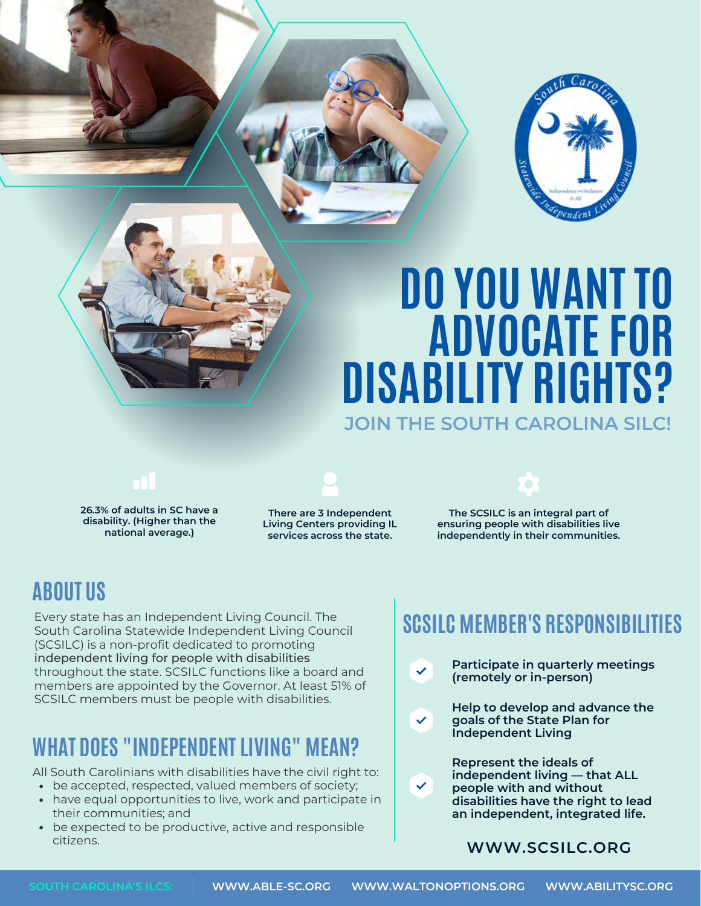

# **DO YOU WANT TO ADVOCATE FOR DISABILITY RIGHTS? JOIN THE SOUTH CAROLINA SILC!**

**26.3% of adults in SC have a**

**disability. (Higher than the national average.)**

**There are 3 Independent Living Centers providing IL services across the state.**

**The SCSILC is an integral part of ensuring people with disabilities live independently in their communities.**

### **ABOUT US**

Every state has an Independent Living Council. The South Carolina Statewide Independent Living Council (SCSILC) is a non-profit dedicated to promoting independent living for people with disabilities throughout the state. SCSILC functions like a board and members are appointed by the Governor. At least 51% of SCSILC members must be people with disabilities. **Help to develop and advance the** 

## **WHAT DOES "INDEPENDENT LIVING" MEAN?**

All South Carolinians with disabilities have the civil right to:

- be accepted, respected, valued members of society;
- have equal opportunities to live, work and participate in their communities; and
- be expected to be productive, active and responsible citizens.

## **SCSILC MEMBER'S RESPONSIBILITIES**

**Participate in quarterly meetings (remotely or in-person)**

**goals of the State Plan for Independent Living**

**Represent the ideals of independent living — that ALL people with and without disabilities have the right to lead an independent, integrated life.**

### **[WWW.SCSILC.ORG](https://www.scsilc.org/)**